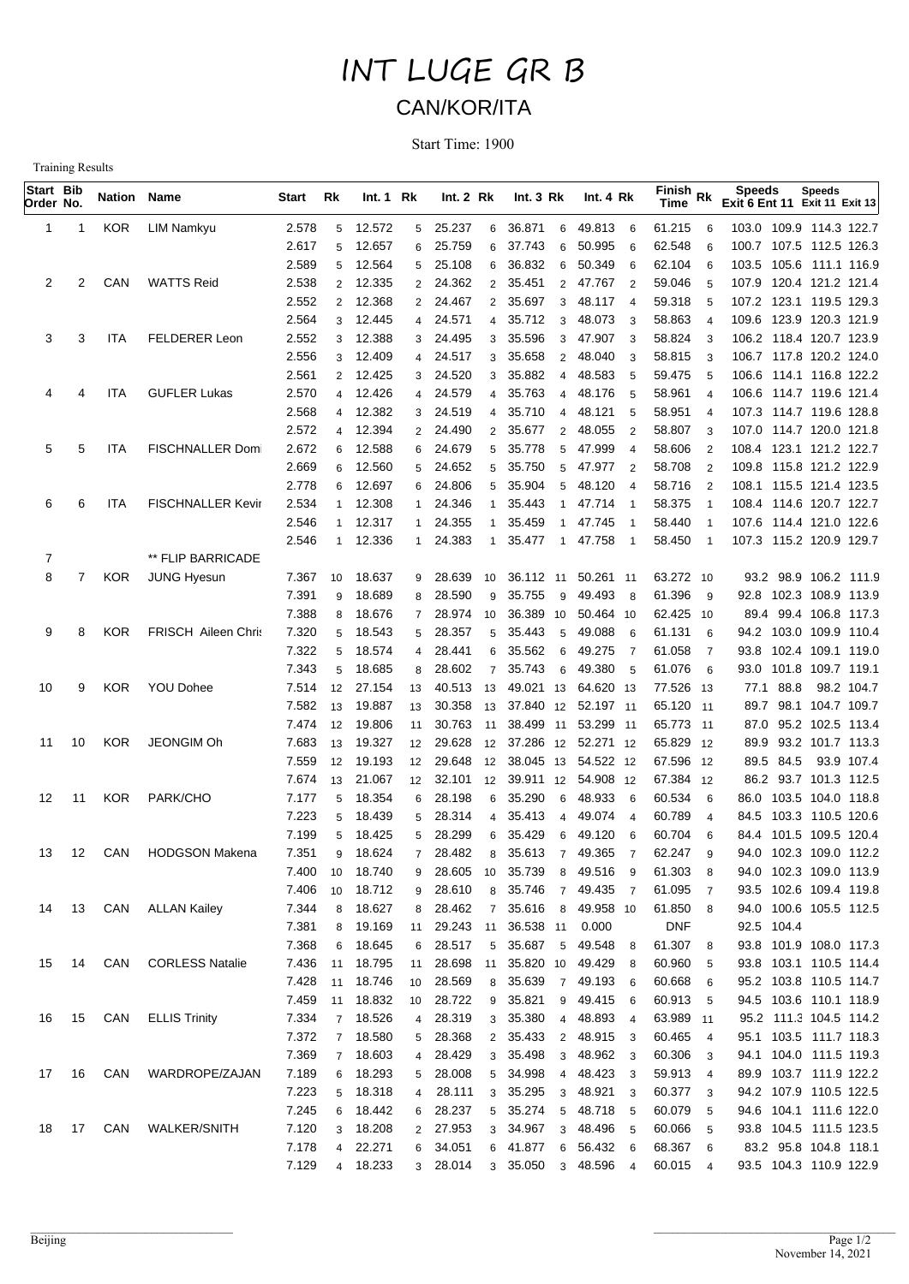## INT LUGE GR B CAN/KOR/ITA

Start Time: 1900

Training Results

| Start Bib<br>Order No. |                | Nation Name |                            | Start          | Rk                  | Int.1 Rk         |                | Int. 2 Rk        |                      | Int. $3 Rk$                            | Int. $4 Rk$          |                          | $\widetilde{F}$ inish Rk<br>Time |                     | <b>Speeds</b><br><b>Exit 6 Ent 11 Exit 11 Exit 13</b> | <b>Speeds</b>                                      |  |
|------------------------|----------------|-------------|----------------------------|----------------|---------------------|------------------|----------------|------------------|----------------------|----------------------------------------|----------------------|--------------------------|----------------------------------|---------------------|-------------------------------------------------------|----------------------------------------------------|--|
| 1                      | 1              | <b>KOR</b>  | LIM Namkyu                 | 2.578          | 5                   | 12.572           | 5              | 25.237           | 6                    | 36.871<br>6                            | 49.813               | 6                        | 61.215                           | 6                   |                                                       | 103.0 109.9 114.3 122.7                            |  |
|                        |                |             |                            | 2.617          | 5                   | 12.657           | 6              | 25.759           | 6                    | 37.743<br>6                            | 50.995               | 6                        | 62.548                           | 6                   |                                                       | 100.7 107.5 112.5 126.3                            |  |
|                        |                |             |                            | 2.589          | 5                   | 12.564           | 5              | 25.108           | 6                    | 36.832<br>6                            | 50.349               | 6                        | 62.104                           | 6                   |                                                       | 103.5 105.6 111.1 116.9                            |  |
| 2                      | 2              | CAN         | <b>WATTS Reid</b>          | 2.538          | $\overline{2}$      | 12.335           | 2              | 24.362           | $\mathbf{2}^{\circ}$ | 35.451<br>$\overline{2}$               | 47.767               | $\overline{2}$           | 59.046                           | 5                   |                                                       | 107.9 120.4 121.2 121.4                            |  |
|                        |                |             |                            | 2.552          | $\overline{2}$      | 12.368           | $\overline{2}$ | 24.467           | $\overline{2}$       | 35.697<br>3                            | 48.117               | $\overline{4}$           | 59.318                           | 5                   |                                                       | 107.2 123.1 119.5 129.3                            |  |
|                        |                |             |                            | 2.564          | 3                   | 12.445           | 4              | 24.571           |                      | 35.712<br>3                            | 48.073               | 3                        | 58.863                           | $\overline{4}$      |                                                       | 109.6 123.9 120.3 121.9                            |  |
| 3                      | 3              | <b>ITA</b>  | FELDERER Leon              | 2.552          | 3                   | 12.388           | 3              | 24.495           |                      | 35.596<br>3                            | 47.907               | 3                        | 58.824                           | 3                   |                                                       | 106.2 118.4 120.7 123.9                            |  |
|                        |                |             |                            | 2.556          | 3                   | 12.409           | 4              | 24.517           | 3                    | 35.658<br>$\overline{2}$               | 48.040               | 3                        | 58.815                           | 3                   |                                                       | 106.7 117.8 120.2 124.0                            |  |
| 4                      | 4              | ITA         | <b>GUFLER Lukas</b>        | 2.561<br>2.570 | $\overline{2}$<br>4 | 12.425<br>12.426 | 3<br>4         | 24.520<br>24.579 | 3<br>4               | 35.882<br>4<br>35.763<br>4             | 48.583<br>48.176     | 5<br>5                   | 59.475<br>58.961                 | 5<br>4              |                                                       | 106.6 114.1 116.8 122.2<br>106.6 114.7 119.6 121.4 |  |
|                        |                |             |                            | 2.568          | 4                   | 12.382           | 3              | 24.519           |                      | 35.710<br>$\overline{4}$               | 48.121               | 5                        | 58.951                           | 4                   |                                                       | 107.3 114.7 119.6 128.8                            |  |
|                        |                |             |                            | 2.572          | 4                   | 12.394           | 2              | 24.490           | 2                    | 35.677<br>$\overline{2}$               | 48.055               | $\overline{2}$           | 58.807                           | 3                   |                                                       | 107.0 114.7 120.0 121.8                            |  |
| 5                      | 5              | ITA         | <b>FISCHNALLER Dom</b>     | 2.672          | 6                   | 12.588           | 6              | 24.679           |                      | 35.778<br>5                            | 47.999               | $\overline{4}$           | 58.606                           | $\overline{2}$      |                                                       | 108.4 123.1 121.2 122.7                            |  |
|                        |                |             |                            | 2.669          | 6                   | 12.560           | 5              | 24.652           | 5                    | 35.750<br>5                            | 47.977               | $\overline{2}$           | 58.708                           | $\overline{2}$      |                                                       | 109.8 115.8 121.2 122.9                            |  |
|                        |                |             |                            | 2.778          | 6                   | 12.697           | 6              | 24.806           | 5                    | 35.904<br>5                            | 48.120               | $\overline{4}$           | 58.716                           | $\overline{2}$      |                                                       | 108.1 115.5 121.4 123.5                            |  |
| 6                      | 6              | ITA         | <b>FISCHNALLER Kevir</b>   | 2.534          |                     | 12.308           | 1              | 24.346           |                      | 35.443<br>$\overline{1}$               | 47.714               | $\overline{\phantom{1}}$ | 58.375                           | $\overline{1}$      |                                                       | 108.4 114.6 120.7 122.7                            |  |
|                        |                |             |                            | 2.546          |                     | 12.317           | 1              | 24.355           |                      | 35.459<br>$\overline{1}$               | 47.745               | $\overline{1}$           | 58.440                           | $\overline{1}$      |                                                       | 107.6 114.4 121.0 122.6                            |  |
|                        |                |             |                            | 2.546          | 1                   | 12.336           | $\mathbf{1}$   | 24.383           | $\mathbf{1}$         | 35.477<br>$\overline{\phantom{a}}$     | 47.758               | $\overline{1}$           | 58.450                           | $\overline{1}$      |                                                       | 107.3 115.2 120.9 129.7                            |  |
| 7                      |                |             | ** FLIP BARRICADE          |                |                     |                  |                |                  |                      |                                        |                      |                          |                                  |                     |                                                       |                                                    |  |
| 8                      | $\overline{7}$ | <b>KOR</b>  | <b>JUNG Hyesun</b>         | 7.367          | 10                  | 18.637           | 9              | 28.639           | 10                   | 36.112 11                              | 50.261 11            |                          | 63.272 10                        |                     |                                                       | 93.2 98.9 106.2 111.9                              |  |
|                        |                |             |                            | 7.391          | 9                   | 18.689           | 8              | 28.590           | 9                    | 35.755<br>9                            | 49.493               | - 8                      | 61.396                           | 9                   |                                                       | 92.8 102.3 108.9 113.9                             |  |
|                        |                |             |                            | 7.388          | 8                   | 18.676           | 7              | 28.974           | 10                   | 36.389 10                              | 50.464 10            |                          | 62.425 10                        |                     |                                                       | 89.4 99.4 106.8 117.3                              |  |
| 9                      | 8              | <b>KOR</b>  | <b>FRISCH Aileen Chris</b> | 7.320          | 5                   | 18.543           | 5              | 28.357           | 5                    | 35.443<br>5                            | 49.088               | 6                        | 61.131                           | 6                   |                                                       | 94.2 103.0 109.9 110.4                             |  |
|                        |                |             |                            | 7.322          | 5                   | 18.574           | 4              | 28.441           | 6                    | 35.562<br>6                            | 49.275               | $\overline{7}$           | 61.058                           | $\overline{7}$      |                                                       | 93.8 102.4 109.1 119.0                             |  |
|                        |                |             |                            | 7.343          | 5                   | 18.685           | 8              | 28.602           | $\overline{7}$       | 35.743<br>6                            | 49.380               | 5                        | 61.076                           | 6                   |                                                       | 93.0 101.8 109.7 119.1                             |  |
| 10                     | 9              | <b>KOR</b>  | YOU Dohee                  | 7.514<br>7.582 | 12<br>13            | 27.154<br>19.887 | 13<br>13       | 40.513<br>30.358 | 13<br>13             | 49.021 13<br>37.840 12 52.197 11       | 64.620 13            |                          | 77.526<br>65.120 11              | - 13                | 77.1 88.8                                             | 98.2 104.7<br>89.7 98.1 104.7 109.7                |  |
|                        |                |             |                            | 7.474          | 12                  | 19.806           | 11             | 30.763           | 11                   | 38.499 11                              | 53.299 11            |                          | 65.773 11                        |                     |                                                       | 87.0 95.2 102.5 113.4                              |  |
| 11                     | 10             | <b>KOR</b>  | JEONGIM Oh                 | 7.683          | 13                  | 19.327           | 12             | 29.628           | 12                   | 37.286 12                              | 52.271 12            |                          | 65.829 12                        |                     |                                                       | 89.9 93.2 101.7 113.3                              |  |
|                        |                |             |                            | 7.559          | 12                  | 19.193           | 12             | 29.648           | 12                   | 38.045 13                              | 54.522 12            |                          | 67.596 12                        |                     | 89.5 84.5                                             | 93.9 107.4                                         |  |
|                        |                |             |                            | 7.674          | 13                  | 21.067           | 12             | 32.101           | 12                   | 39.911 12                              | 54.908 12            |                          | 67.384 12                        |                     |                                                       | 86.2 93.7 101.3 112.5                              |  |
| 12                     | 11             | <b>KOR</b>  | PARK/CHO                   | 7.177          | 5                   | 18.354           | 6              | 28.198           | 6                    | 35.290<br>6                            | 48.933               | 6                        | 60.534                           | 6                   |                                                       | 86.0 103.5 104.0 118.8                             |  |
|                        |                |             |                            | 7.223          | 5                   | 18.439           | 5              | 28.314           | $\overline{4}$       | 35.413<br>4                            | 49.074               | $\overline{4}$           | 60.789                           | $\overline{4}$      |                                                       | 84.5 103.3 110.5 120.6                             |  |
|                        |                |             |                            | 7.199          | 5                   | 18.425           | 5              | 28.299           | 6                    | 35.429<br>6                            | 49.120               | 6                        | 60.704                           | 6                   | 84.4                                                  | 101.5 109.5 120.4                                  |  |
| 13                     | 12             | CAN         | <b>HODGSON Makena</b>      | 7.351          | 9                   | 18.624           | $\overline{7}$ | 28.482           | 8                    | 35.613<br>$\overline{7}$               | 49.365               | $\overline{7}$           | 62.247                           | 9                   |                                                       | 94.0 102.3 109.0 112.2                             |  |
|                        |                |             |                            | 7.400          | 10                  | 18.740           | 9              | 28.605           | 10                   | 35.739<br>8                            | 49.516               | 9                        | 61.303                           | 8                   |                                                       | 94.0 102.3 109.0 113.9                             |  |
|                        |                |             |                            | 7.406          | 10                  | 18.712           | 9              | 28.610           | 8                    | 35.746<br>$7\overline{ }$              | 49.435 7             |                          | 61.095                           | $\overline{7}$      |                                                       | 93.5 102.6 109.4 119.8                             |  |
| 14                     | 13             | CAN         | <b>ALLAN Kailey</b>        | 7.344          | 8                   | 18.627           | 8              | 28.462           | $7^{\circ}$          | 35.616<br>8                            | 49.958 10            |                          | 61.850                           | 8                   |                                                       | 94.0 100.6 105.5 112.5                             |  |
|                        |                |             |                            | 7.381          | 8                   | 19.169           | 11             | 29.243           |                      | 11 36.538 11                           | 0.000                |                          | <b>DNF</b>                       |                     | 92.5 104.4                                            |                                                    |  |
|                        |                |             |                            | 7.368          | 6                   | 18.645           | 6              | 28.517           | 5                    | 35.687<br>$5\phantom{.0}$              | 49.548               | 8                        | 61.307                           | 8                   |                                                       | 93.8 101.9 108.0 117.3                             |  |
| 15                     | 14             | CAN         | <b>CORLESS Natalie</b>     | 7.436          | 11                  | 18.795           | 11             | 28.698           |                      | 11 35.820 10                           | 49.429 8             |                          | 60.960                           | -5                  |                                                       | 93.8 103.1 110.5 114.4                             |  |
|                        |                |             |                            | 7.428          | 11                  | 18.746           | 10             | 28.569           |                      | 8 35.639                               | 7 49.193 6           |                          | 60.668                           | 6                   |                                                       | 95.2 103.8 110.5 114.7                             |  |
|                        |                |             |                            | 7.459          | 11                  | 18.832           | 10             | 28.722           | 9                    | 35.821<br>9                            | 49.415 6             |                          | 60.913                           | -5                  |                                                       | 94.5 103.6 110.1 118.9                             |  |
| 16                     | 15             | CAN         | <b>ELLIS Trinity</b>       | 7.334          | $\overline{7}$      | 18.526           | 4              | 28.319<br>28.368 |                      | 3 35.380<br>$\overline{4}$             | 48.893 4             |                          | 63.989 11                        |                     |                                                       | 95.2 111.3 104.5 114.2                             |  |
|                        |                |             |                            | 7.372          | $\overline{7}$      | 18.580<br>18.603 | 5              | 28.429           |                      | 2 35.433<br>$\overline{2}$<br>3 35.498 | 48.915 3             |                          | 60.465                           | $\overline{4}$      |                                                       | 95.1 103.5 111.7 118.3                             |  |
| 17                     | 16             | CAN         | WARDROPE/ZAJAN             | 7.369<br>7.189 | $\overline{7}$<br>6 | 18.293           | 4<br>5         | 28.008           |                      | 3<br>5 34.998<br>$\overline{4}$        | 48.962 3<br>48.423 3 |                          | 60.306<br>59.913                 | 3<br>$\overline{4}$ |                                                       | 94.1 104.0 111.5 119.3<br>89.9 103.7 111.9 122.2   |  |
|                        |                |             |                            | 7.223          | 5                   | 18.318           | 4              | 28.111           |                      | 3 35.295<br>3                          | 48.921 3             |                          | 60.377                           | $\mathbf{3}$        |                                                       | 94.2 107.9 110.5 122.5                             |  |
|                        |                |             |                            | 7.245          | 6                   | 18.442           | 6              | 28.237           |                      | 5 35.274<br>$5\overline{5}$            | 48.718 5             |                          | 60.079                           | 5                   |                                                       | 94.6 104.1 111.6 122.0                             |  |
| 18                     | 17             | CAN         | <b>WALKER/SNITH</b>        | 7.120          | 3                   | 18.208           | $\overline{2}$ | 27.953           |                      | 3 34.967<br>3                          | 48.496 5             |                          | 60.066                           | 5                   |                                                       | 93.8 104.5 111.5 123.5                             |  |
|                        |                |             |                            | 7.178          | 4                   | 22.271           | 6              | 34.051           |                      | 6 41.877                               | 6 56.432 6           |                          | 68.367                           | 6                   |                                                       | 83.2 95.8 104.8 118.1                              |  |
|                        |                |             |                            | 7.129          | 4                   | 18.233           |                | 3 28.014         |                      | 3 35.050                               | 3 48.596 4           |                          | 60.015                           | $\overline{4}$      |                                                       | 93.5 104.3 110.9 122.9                             |  |
|                        |                |             |                            |                |                     |                  |                |                  |                      |                                        |                      |                          |                                  |                     |                                                       |                                                    |  |